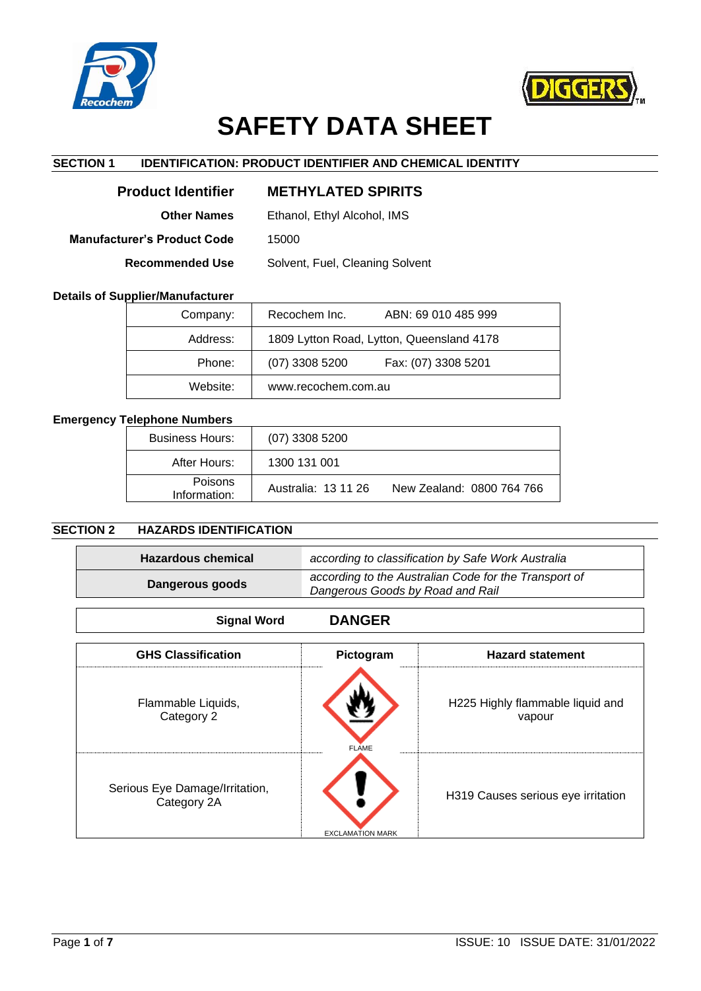



# **SAFETY DATA SHEET**

# **SECTION 1 IDENTIFICATION: PRODUCT IDENTIFIER AND CHEMICAL IDENTITY**

| <b>Product Identifier</b>   | <b>METHYLATED SPIRITS</b>       |
|-----------------------------|---------------------------------|
| <b>Other Names</b>          | Ethanol, Ethyl Alcohol, IMS     |
| Manufacturer's Product Code | 15000                           |
| <b>Recommended Use</b>      | Solvent, Fuel, Cleaning Solvent |
|                             |                                 |

# **Details of Supplier/Manufacturer**

| Company: | Recochem Inc.<br>ABN: 69 010 485 999      |  |
|----------|-------------------------------------------|--|
| Address: | 1809 Lytton Road, Lytton, Queensland 4178 |  |
| Phone:   | $(07)$ 3308 5200<br>Fax: (07) 3308 5201   |  |
| Website: | www.recochem.com.au                       |  |

# **Emergency Telephone Numbers**

| <b>Business Hours:</b>         | $(07)$ 3308 5200    |                           |
|--------------------------------|---------------------|---------------------------|
| After Hours:                   | 1300 131 001        |                           |
| <b>Poisons</b><br>Information: | Australia: 13 11 26 | New Zealand: 0800 764 766 |

# **SECTION 2 HAZARDS IDENTIFICATION**

| <b>Hazardous chemical</b>                                                                                    |               | according to classification by Safe Work Australia |
|--------------------------------------------------------------------------------------------------------------|---------------|----------------------------------------------------|
| according to the Australian Code for the Transport of<br>Dangerous goods<br>Dangerous Goods by Road and Rail |               |                                                    |
| <b>Signal Word</b>                                                                                           | <b>DANGER</b> |                                                    |
| <b>GHS Classification</b>                                                                                    | Pictogram     | <b>Hazard statement</b>                            |
| Flammable Liquids,<br>Catagony 2                                                                             |               | H225 Highly flammable liquid and<br>V2N            |

| Category 2                                    | <b>FLAME</b>            | vapour                             |
|-----------------------------------------------|-------------------------|------------------------------------|
| Serious Eye Damage/Irritation,<br>Category 2A | <b>EXCLAMATION MARK</b> | H319 Causes serious eye irritation |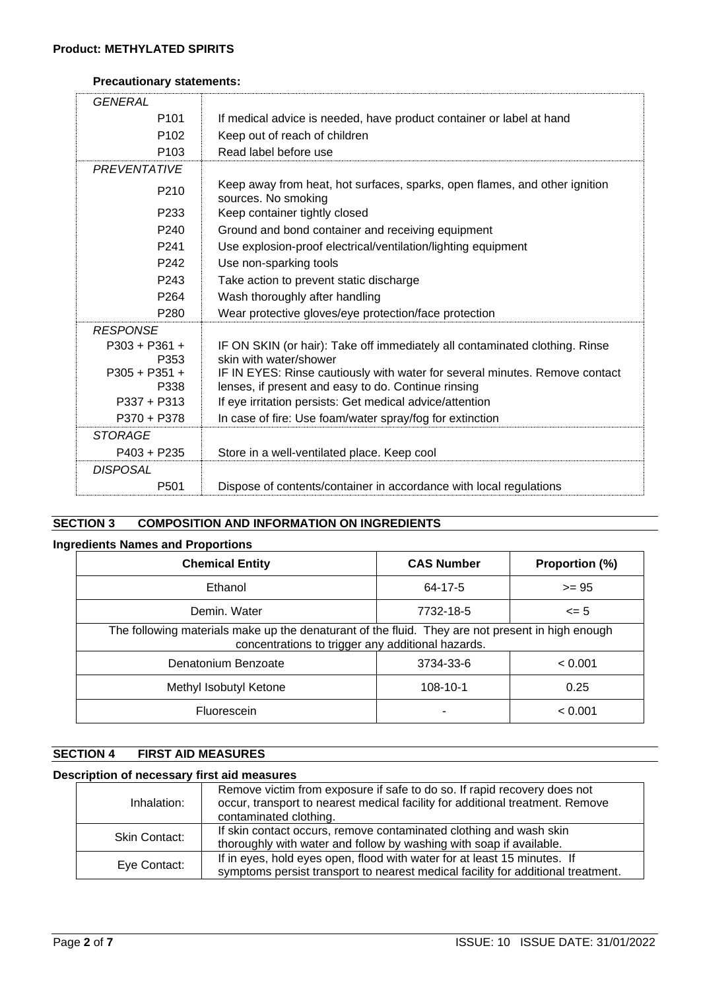# **Precautionary statements:**

| <b>GENERAL</b>          |                                                                                                                                    |
|-------------------------|------------------------------------------------------------------------------------------------------------------------------------|
| P <sub>101</sub>        | If medical advice is needed, have product container or label at hand                                                               |
| P <sub>102</sub>        | Keep out of reach of children                                                                                                      |
| P <sub>103</sub>        | Read label before use                                                                                                              |
| PREVENTATIVE            |                                                                                                                                    |
| P <sub>210</sub>        | Keep away from heat, hot surfaces, sparks, open flames, and other ignition<br>sources. No smoking                                  |
| P <sub>233</sub>        | Keep container tightly closed                                                                                                      |
| P <sub>240</sub>        | Ground and bond container and receiving equipment                                                                                  |
| P <sub>241</sub>        | Use explosion-proof electrical/ventilation/lighting equipment                                                                      |
| P <sub>242</sub>        | Use non-sparking tools                                                                                                             |
| P <sub>243</sub>        | Take action to prevent static discharge                                                                                            |
| P <sub>264</sub>        | Wash thoroughly after handling                                                                                                     |
| P <sub>280</sub>        | Wear protective gloves/eye protection/face protection                                                                              |
| <b>RESPONSE</b>         |                                                                                                                                    |
| $P303 + P361 +$<br>P353 | IF ON SKIN (or hair): Take off immediately all contaminated clothing. Rinse<br>skin with water/shower                              |
| $P305 + P351 +$<br>P338 | IF IN EYES: Rinse cautiously with water for several minutes. Remove contact<br>lenses, if present and easy to do. Continue rinsing |
| $P337 + P313$           | If eye irritation persists: Get medical advice/attention                                                                           |
| $P370 + P378$           | In case of fire: Use foam/water spray/fog for extinction                                                                           |
| STORAGE                 |                                                                                                                                    |
| $P403 + P235$           | Store in a well-ventilated place. Keep cool                                                                                        |
| <b>DISPOSAL</b>         |                                                                                                                                    |
| P <sub>501</sub>        | Dispose of contents/container in accordance with local regulations                                                                 |

# **SECTION 3 COMPOSITION AND INFORMATION ON INGREDIENTS**

# **Ingredients Names and Proportions**

| <b>Chemical Entity</b>                                                                                                                                | <b>CAS Number</b> | Proportion (%) |  |
|-------------------------------------------------------------------------------------------------------------------------------------------------------|-------------------|----------------|--|
| Ethanol                                                                                                                                               | 64-17-5           | $>= 95$        |  |
| Demin. Water                                                                                                                                          | 7732-18-5         | $\leq$ 5       |  |
| The following materials make up the denaturant of the fluid. They are not present in high enough<br>concentrations to trigger any additional hazards. |                   |                |  |
| Denatonium Benzoate                                                                                                                                   | 3734-33-6         | < 0.001        |  |
| Methyl Isobutyl Ketone                                                                                                                                | 108-10-1          | 0.25           |  |
| <b>Fluorescein</b>                                                                                                                                    |                   | < 0.001        |  |

# **SECTION 4 FIRST AID MEASURES**

# **Description of necessary first aid measures**

| Inhalation:   | Remove victim from exposure if safe to do so. If rapid recovery does not<br>occur, transport to nearest medical facility for additional treatment. Remove<br>contaminated clothing. |
|---------------|-------------------------------------------------------------------------------------------------------------------------------------------------------------------------------------|
| Skin Contact: | If skin contact occurs, remove contaminated clothing and wash skin<br>thoroughly with water and follow by washing with soap if available.                                           |
| Eye Contact:  | If in eyes, hold eyes open, flood with water for at least 15 minutes. If<br>symptoms persist transport to nearest medical facility for additional treatment.                        |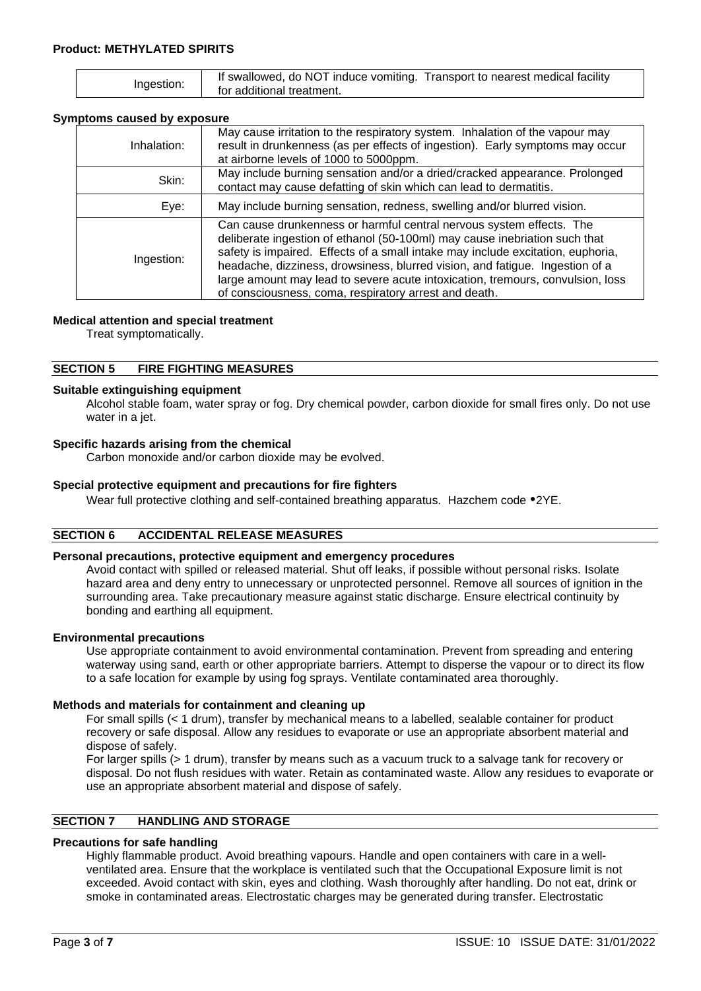|            | If swallowed, do NOT induce vomiting. Transport to nearest medical facility |
|------------|-----------------------------------------------------------------------------|
| Ingestion: | for additional treatment.                                                   |

## **Symptoms caused by exposure**

| Inhalation: | May cause irritation to the respiratory system. Inhalation of the vapour may<br>result in drunkenness (as per effects of ingestion). Early symptoms may occur<br>at airborne levels of 1000 to 5000ppm.                                                                                                                                                                                                                                                          |
|-------------|------------------------------------------------------------------------------------------------------------------------------------------------------------------------------------------------------------------------------------------------------------------------------------------------------------------------------------------------------------------------------------------------------------------------------------------------------------------|
| Skin:       | May include burning sensation and/or a dried/cracked appearance. Prolonged<br>contact may cause defatting of skin which can lead to dermatitis.                                                                                                                                                                                                                                                                                                                  |
| Eye:        | May include burning sensation, redness, swelling and/or blurred vision.                                                                                                                                                                                                                                                                                                                                                                                          |
| Ingestion:  | Can cause drunkenness or harmful central nervous system effects. The<br>deliberate ingestion of ethanol (50-100ml) may cause inebriation such that<br>safety is impaired. Effects of a small intake may include excitation, euphoria,<br>headache, dizziness, drowsiness, blurred vision, and fatigue. Ingestion of a<br>large amount may lead to severe acute intoxication, tremours, convulsion, loss<br>of consciousness, coma, respiratory arrest and death. |

#### **Medical attention and special treatment**

Treat symptomatically.

#### **SECTION 5 FIRE FIGHTING MEASURES**

# **Suitable extinguishing equipment**

Alcohol stable foam, water spray or fog. Dry chemical powder, carbon dioxide for small fires only. Do not use water in a jet.

#### **Specific hazards arising from the chemical**

Carbon monoxide and/or carbon dioxide may be evolved.

## **Special protective equipment and precautions for fire fighters**

Wear full protective clothing and self-contained breathing apparatus. Hazchem code  $2YE$ .

#### **SECTION 6 ACCIDENTAL RELEASE MEASURES**

#### **Personal precautions, protective equipment and emergency procedures**

Avoid contact with spilled or released material. Shut off leaks, if possible without personal risks. Isolate hazard area and deny entry to unnecessary or unprotected personnel. Remove all sources of ignition in the surrounding area. Take precautionary measure against static discharge. Ensure electrical continuity by bonding and earthing all equipment.

#### **Environmental precautions**

Use appropriate containment to avoid environmental contamination. Prevent from spreading and entering waterway using sand, earth or other appropriate barriers. Attempt to disperse the vapour or to direct its flow to a safe location for example by using fog sprays. Ventilate contaminated area thoroughly.

#### **Methods and materials for containment and cleaning up**

For small spills (< 1 drum), transfer by mechanical means to a labelled, sealable container for product recovery or safe disposal. Allow any residues to evaporate or use an appropriate absorbent material and dispose of safely.

For larger spills (> 1 drum), transfer by means such as a vacuum truck to a salvage tank for recovery or disposal. Do not flush residues with water. Retain as contaminated waste. Allow any residues to evaporate or use an appropriate absorbent material and dispose of safely.

# **SECTION 7 HANDLING AND STORAGE**

# **Precautions for safe handling**

Highly flammable product. Avoid breathing vapours. Handle and open containers with care in a wellventilated area. Ensure that the workplace is ventilated such that the Occupational Exposure limit is not exceeded. Avoid contact with skin, eyes and clothing. Wash thoroughly after handling. Do not eat, drink or smoke in contaminated areas. Electrostatic charges may be generated during transfer. Electrostatic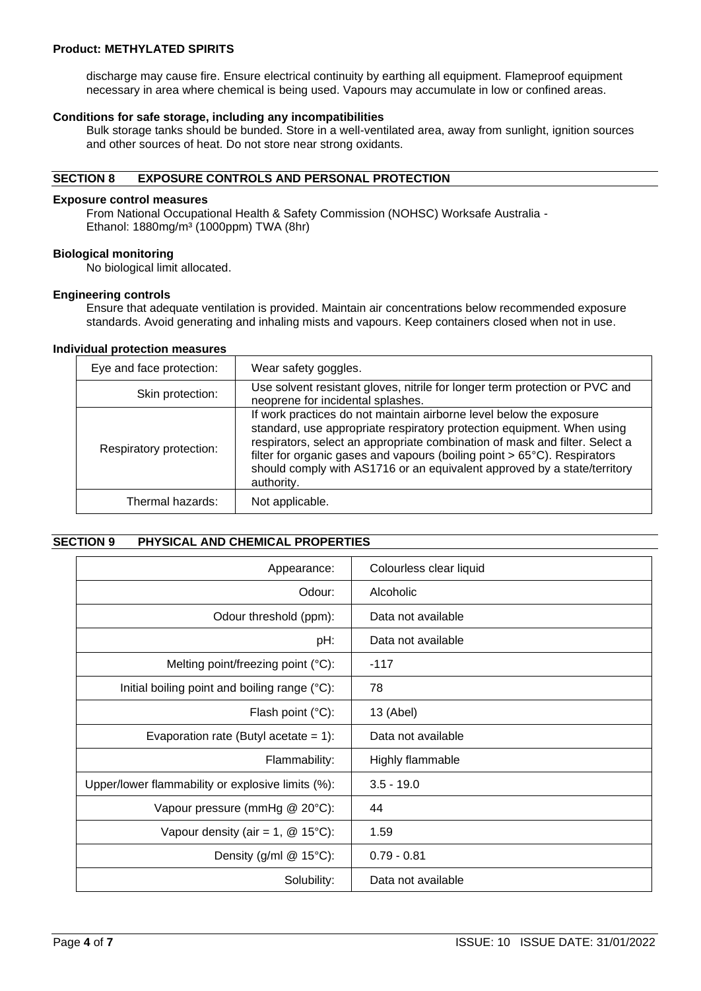## **Product: METHYLATED SPIRITS**

discharge may cause fire. Ensure electrical continuity by earthing all equipment. Flameproof equipment necessary in area where chemical is being used. Vapours may accumulate in low or confined areas.

#### **Conditions for safe storage, including any incompatibilities**

Bulk storage tanks should be bunded. Store in a well-ventilated area, away from sunlight, ignition sources and other sources of heat. Do not store near strong oxidants.

## **SECTION 8 EXPOSURE CONTROLS AND PERSONAL PROTECTION**

#### **Exposure control measures**

From National Occupational Health & Safety Commission (NOHSC) Worksafe Australia - Ethanol: 1880mg/m<sup>3</sup> (1000ppm) TWA (8hr)

#### **Biological monitoring**

No biological limit allocated.

#### **Engineering controls**

Ensure that adequate ventilation is provided. Maintain air concentrations below recommended exposure standards. Avoid generating and inhaling mists and vapours. Keep containers closed when not in use.

#### **Individual protection measures**

| Eye and face protection: | Wear safety goggles.                                                                                                                                                                                                                                                                                                                                                                               |
|--------------------------|----------------------------------------------------------------------------------------------------------------------------------------------------------------------------------------------------------------------------------------------------------------------------------------------------------------------------------------------------------------------------------------------------|
| Skin protection:         | Use solvent resistant gloves, nitrile for longer term protection or PVC and<br>neoprene for incidental splashes.                                                                                                                                                                                                                                                                                   |
| Respiratory protection:  | If work practices do not maintain airborne level below the exposure<br>standard, use appropriate respiratory protection equipment. When using<br>respirators, select an appropriate combination of mask and filter. Select a<br>filter for organic gases and vapours (boiling point > 65°C). Respirators<br>should comply with AS1716 or an equivalent approved by a state/territory<br>authority. |
| Thermal hazards:         | Not applicable.                                                                                                                                                                                                                                                                                                                                                                                    |

## **SECTION 9 PHYSICAL AND CHEMICAL PROPERTIES**

| Appearance:                                       | Colourless clear liquid |
|---------------------------------------------------|-------------------------|
| Odour:                                            | Alcoholic               |
| Odour threshold (ppm):                            | Data not available      |
| pH:                                               | Data not available      |
| Melting point/freezing point (°C):                | $-117$                  |
| Initial boiling point and boiling range (°C):     | 78                      |
| Flash point $(^{\circ}C)$ :                       | 13 (Abel)               |
| Evaporation rate (Butyl acetate = $1$ ):          | Data not available      |
| Flammability:                                     | Highly flammable        |
| Upper/lower flammability or explosive limits (%): | $3.5 - 19.0$            |
| Vapour pressure (mmHg @ 20°C):                    | 44                      |
| Vapour density (air = 1, $@$ 15°C):               | 1.59                    |
| Density (g/ml $@$ 15°C):                          | $0.79 - 0.81$           |
| Solubility:                                       | Data not available      |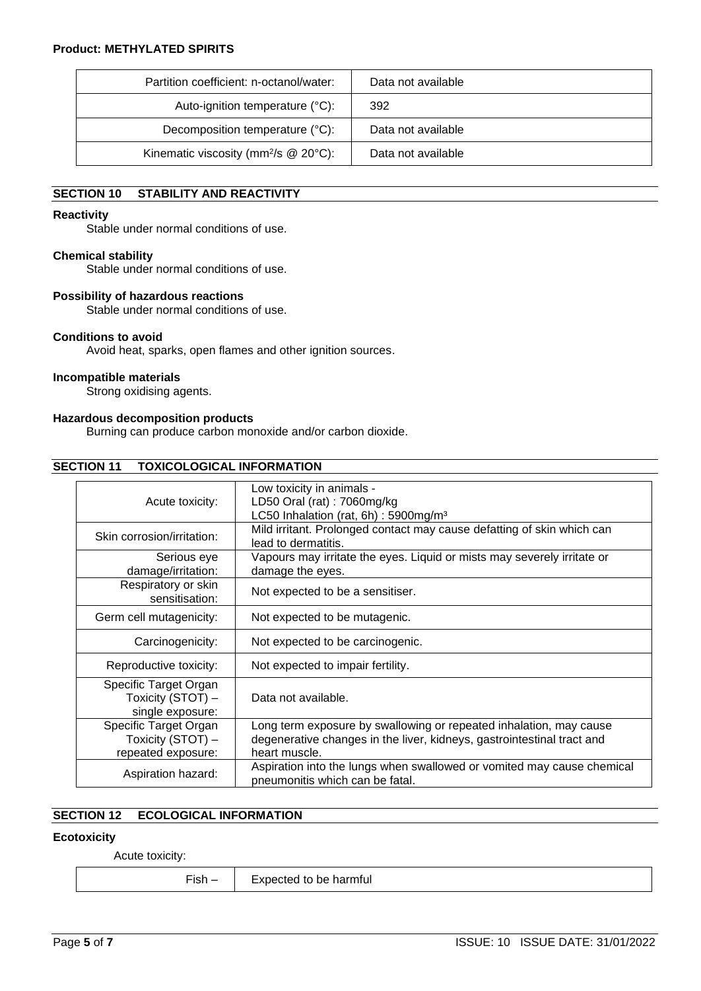| Partition coefficient: n-octanol/water:              | Data not available |
|------------------------------------------------------|--------------------|
| Auto-ignition temperature (°C):                      | 392                |
| Decomposition temperature (°C):                      | Data not available |
| Kinematic viscosity (mm $^{2}/s$ @ 20 $^{\circ}$ C): | Data not available |

# **SECTION 10 STABILITY AND REACTIVITY**

#### **Reactivity**

Stable under normal conditions of use.

## **Chemical stability**

Stable under normal conditions of use.

#### **Possibility of hazardous reactions**

Stable under normal conditions of use.

## **Conditions to avoid**

Avoid heat, sparks, open flames and other ignition sources.

## **Incompatible materials**

Strong oxidising agents.

# **Hazardous decomposition products**

Burning can produce carbon monoxide and/or carbon dioxide.

## **SECTION 11 TOXICOLOGICAL INFORMATION**

| Acute toxicity:                                                  | Low toxicity in animals -<br>LD50 Oral (rat): 7060mg/kg<br>LC50 Inhalation (rat, 6h) : 5900mg/m <sup>3</sup>                                                  |
|------------------------------------------------------------------|---------------------------------------------------------------------------------------------------------------------------------------------------------------|
| Skin corrosion/irritation:                                       | Mild irritant. Prolonged contact may cause defatting of skin which can<br>lead to dermatitis.                                                                 |
| Serious eye<br>damage/irritation:                                | Vapours may irritate the eyes. Liquid or mists may severely irritate or<br>damage the eyes.                                                                   |
| Respiratory or skin<br>sensitisation:                            | Not expected to be a sensitiser.                                                                                                                              |
| Germ cell mutagenicity:                                          | Not expected to be mutagenic.                                                                                                                                 |
| Carcinogenicity:                                                 | Not expected to be carcinogenic.                                                                                                                              |
| Reproductive toxicity:                                           | Not expected to impair fertility.                                                                                                                             |
| Specific Target Organ<br>Toxicity (STOT) -<br>single exposure:   | Data not available.                                                                                                                                           |
| Specific Target Organ<br>Toxicity (STOT) -<br>repeated exposure: | Long term exposure by swallowing or repeated inhalation, may cause<br>degenerative changes in the liver, kidneys, gastrointestinal tract and<br>heart muscle. |
| Aspiration hazard:                                               | Aspiration into the lungs when swallowed or vomited may cause chemical<br>pneumonitis which can be fatal.                                                     |

# **SECTION 12 ECOLOGICAL INFORMATION**

#### **Ecotoxicity**

Acute toxicity:

 $Fish - \vert$  Expected to be harmful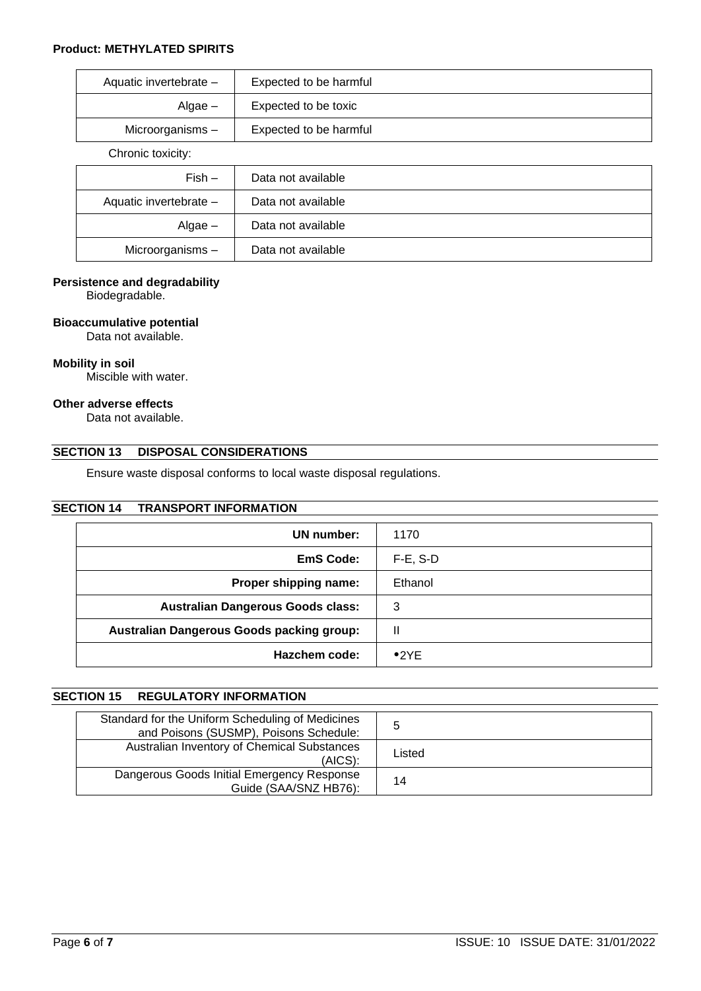# **Product: METHYLATED SPIRITS**

| Aquatic invertebrate - | Expected to be harmful |
|------------------------|------------------------|
| $Algae -$              | Expected to be toxic   |
| Microorganisms -       | Expected to be harmful |
| Chronic toxicity:      |                        |
| $Fish -$               | Data not available     |
| Aquatic invertebrate - | Data not available     |
| $Algae -$              | Data not available     |
| Microorganisms -       | Data not available     |

# **Persistence and degradability**

Biodegradable.

## **Bioaccumulative potential**

Data not available.

#### **Mobility in soil**

Miscible with water.

# **Other adverse effects**

Data not available.

# **SECTION 13 DISPOSAL CONSIDERATIONS**

Ensure waste disposal conforms to local waste disposal regulations.

# **SECTION 14 TRANSPORT INFORMATION**

| UN number:                                | 1170        |
|-------------------------------------------|-------------|
| EmS Code:                                 | $F-E$ , S-D |
| Proper shipping name:                     | Ethanol     |
| <b>Australian Dangerous Goods class:</b>  | 3           |
| Australian Dangerous Goods packing group: | Ш           |
| Hazchem code:                             | •2YE        |

# **SECTION 15 REGULATORY INFORMATION**

| Standard for the Uniform Scheduling of Medicines<br>and Poisons (SUSMP), Poisons Schedule: |        |
|--------------------------------------------------------------------------------------------|--------|
| Australian Inventory of Chemical Substances<br>(AICS):                                     | Listed |
| Dangerous Goods Initial Emergency Response<br>Guide (SAA/SNZ HB76):                        | 14     |